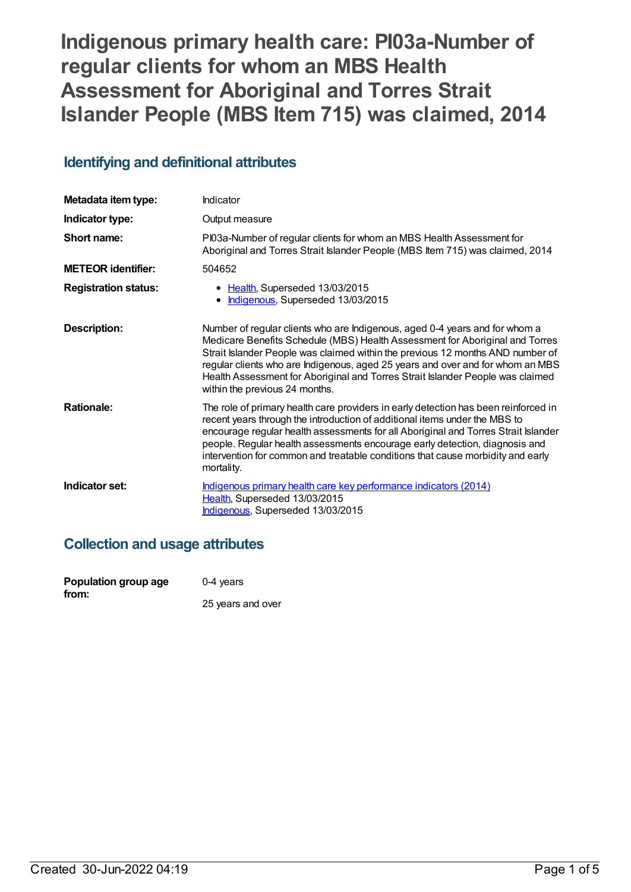# **Indigenous primary health care: PI03a-Number of regular clients for whom an MBS Health Assessment for Aboriginal and Torres Strait Islander People (MBS Item 715) was claimed, 2014**

## **Identifying and definitional attributes**

| Metadata item type:         | Indicator                                                                                                                                                                                                                                                                                                                                                                                                                                           |
|-----------------------------|-----------------------------------------------------------------------------------------------------------------------------------------------------------------------------------------------------------------------------------------------------------------------------------------------------------------------------------------------------------------------------------------------------------------------------------------------------|
| Indicator type:             | Output measure                                                                                                                                                                                                                                                                                                                                                                                                                                      |
| Short name:                 | PI03a-Number of regular clients for whom an MBS Health Assessment for<br>Aboriginal and Torres Strait Islander People (MBS Item 715) was claimed, 2014                                                                                                                                                                                                                                                                                              |
| <b>METEOR identifier:</b>   | 504652                                                                                                                                                                                                                                                                                                                                                                                                                                              |
| <b>Registration status:</b> | Health, Superseded 13/03/2015<br>Indigenous, Superseded 13/03/2015<br>$\bullet$                                                                                                                                                                                                                                                                                                                                                                     |
| Description:                | Number of regular clients who are Indigenous, aged 0-4 years and for whom a<br>Medicare Benefits Schedule (MBS) Health Assessment for Aboriginal and Torres<br>Strait Islander People was claimed within the previous 12 months AND number of<br>regular clients who are Indigenous, aged 25 years and over and for whom an MBS<br>Health Assessment for Aboriginal and Torres Strait Islander People was claimed<br>within the previous 24 months. |
| <b>Rationale:</b>           | The role of primary health care providers in early detection has been reinforced in<br>recent years through the introduction of additional items under the MBS to<br>encourage regular health assessments for all Aboriginal and Torres Strait Islander<br>people. Regular health assessments encourage early detection, diagnosis and<br>intervention for common and treatable conditions that cause morbidity and early<br>mortality.             |
| Indicator set:              | Indigenous primary health care key performance indicators (2014)<br>Health, Superseded 13/03/2015<br>Indigenous, Superseded 13/03/2015                                                                                                                                                                                                                                                                                                              |

## **Collection and usage attributes**

| Population group age | $0-4$ years       |
|----------------------|-------------------|
| from:                | 25 years and over |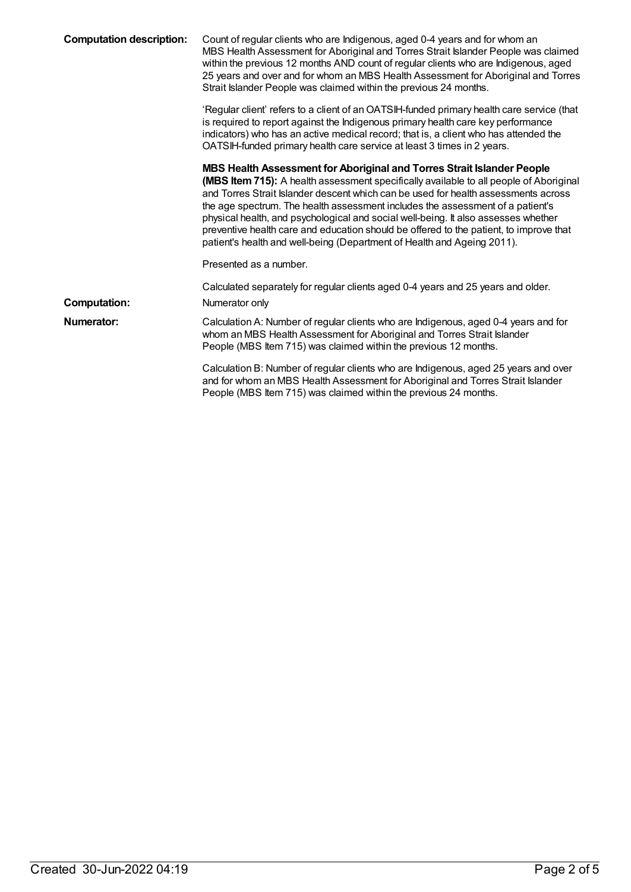| <b>Computation description:</b> | Count of regular clients who are Indigenous, aged 0-4 years and for whom an<br>MBS Health Assessment for Aboriginal and Torres Strait Islander People was claimed<br>within the previous 12 months AND count of regular clients who are Indigenous, aged<br>25 years and over and for whom an MBS Health Assessment for Aboriginal and Torres<br>Strait Islander People was claimed within the previous 24 months.                                                                                                                                                                                         |
|---------------------------------|------------------------------------------------------------------------------------------------------------------------------------------------------------------------------------------------------------------------------------------------------------------------------------------------------------------------------------------------------------------------------------------------------------------------------------------------------------------------------------------------------------------------------------------------------------------------------------------------------------|
|                                 | 'Regular client' refers to a client of an OATSIH-funded primary health care service (that<br>is required to report against the Indigenous primary health care key performance<br>indicators) who has an active medical record; that is, a client who has attended the<br>OATSIH-funded primary health care service at least 3 times in 2 years.                                                                                                                                                                                                                                                            |
|                                 | MBS Health Assessment for Aboriginal and Torres Strait Islander People<br><b>(MBS Item 715):</b> A health assessment specifically available to all people of Aboriginal<br>and Torres Strait Islander descent which can be used for health assessments across<br>the age spectrum. The health assessment includes the assessment of a patient's<br>physical health, and psychological and social well-being. It also assesses whether<br>preventive health care and education should be offered to the patient, to improve that<br>patient's health and well-being (Department of Health and Ageing 2011). |
|                                 | Presented as a number.                                                                                                                                                                                                                                                                                                                                                                                                                                                                                                                                                                                     |
| <b>Computation:</b>             | Calculated separately for regular clients aged 0-4 years and 25 years and older.<br>Numerator only                                                                                                                                                                                                                                                                                                                                                                                                                                                                                                         |
| Numerator:                      | Calculation A: Number of regular clients who are Indigenous, aged 0-4 years and for<br>whom an MBS Health Assessment for Aboriginal and Torres Strait Islander<br>People (MBS Item 715) was claimed within the previous 12 months.                                                                                                                                                                                                                                                                                                                                                                         |
|                                 | Calculation B: Number of regular clients who are Indigenous, aged 25 years and over<br>and for whom an MBS Health Assessment for Aboriginal and Torres Strait Islander<br>People (MBS Item 715) was claimed within the previous 24 months.                                                                                                                                                                                                                                                                                                                                                                 |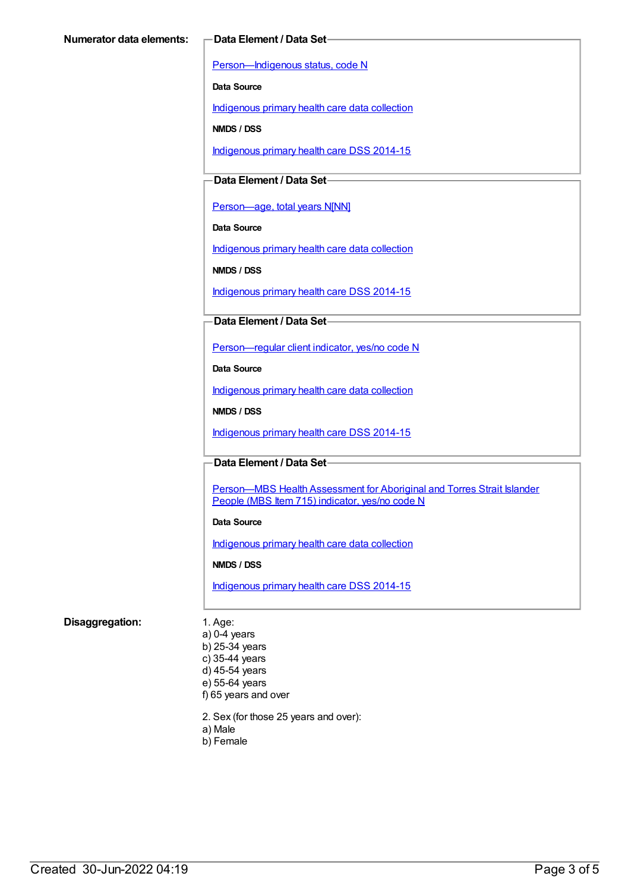[Person—Indigenous](https://meteor.aihw.gov.au/content/291036) status, code N

**Data Source**

[Indigenous](https://meteor.aihw.gov.au/content/430643) primary health care data collection

**NMDS / DSS**

[Indigenous](https://meteor.aihw.gov.au/content/504325) primary health care DSS 2014-15

### **Data Element / Data Set**

[Person—age,](https://meteor.aihw.gov.au/content/303794) total years N[NN]

**Data Source**

[Indigenous](https://meteor.aihw.gov.au/content/430643) primary health care data collection

**NMDS / DSS**

[Indigenous](https://meteor.aihw.gov.au/content/504325) primary health care DSS 2014-15

#### **Data Element / Data Set**

[Person—regular](https://meteor.aihw.gov.au/content/436639) client indicator, yes/no code N

**Data Source**

[Indigenous](https://meteor.aihw.gov.au/content/430643) primary health care data collection

**NMDS / DSS**

[Indigenous](https://meteor.aihw.gov.au/content/504325) primary health care DSS 2014-15

#### **Data Element / Data Set**

Person-MBS Health Assessment for Aboriginal and Torres Strait Islander People (MBS Item 715) indicator, yes/no code N

#### **Data Source**

[Indigenous](https://meteor.aihw.gov.au/content/430643) primary health care data collection

**NMDS / DSS**

[Indigenous](https://meteor.aihw.gov.au/content/504325) primary health care DSS 2014-15

#### **Disaggregation:** 1. Age:

a) 0-4 years b) 25-34 years c) 35-44 years d) 45-54 years e) 55-64 years f) 65 years and over

2. Sex (for those 25 years and over):

- a) Male
- b) Female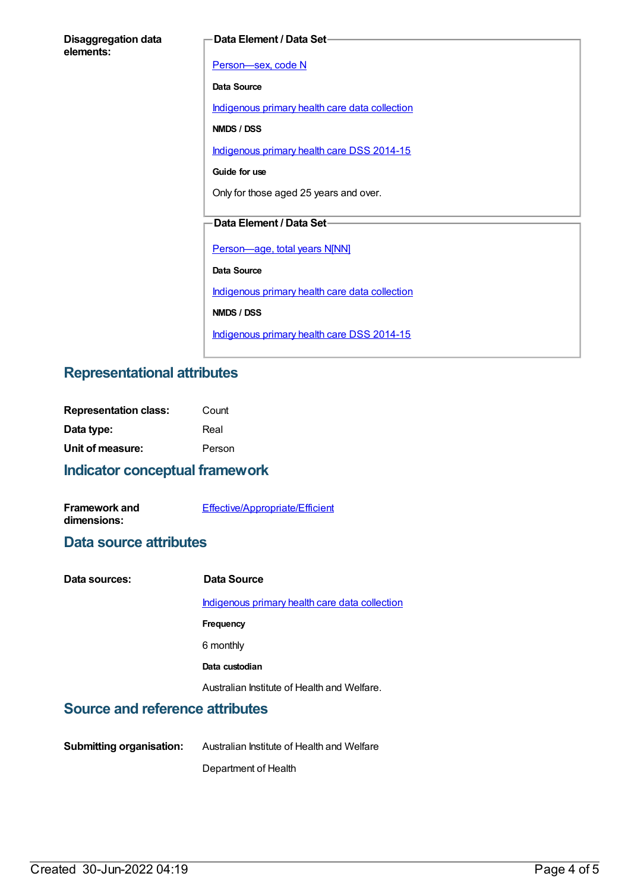| <b>Disaggregation data</b> |  |
|----------------------------|--|
| elements:                  |  |

#### **Data Element / Data Set**

Person-sex, code N **Data Source** [Indigenous](https://meteor.aihw.gov.au/content/430643) primary health care data collection **NMDS / DSS** [Indigenous](https://meteor.aihw.gov.au/content/504325) primary health care DSS 2014-15 **Guide for use** Only for those aged 25 years and over. **Data Element / Data Set** [Person—age,](https://meteor.aihw.gov.au/content/303794) total years N[NN] **Data Source** [Indigenous](https://meteor.aihw.gov.au/content/430643) primary health care data collection **NMDS / DSS** [Indigenous](https://meteor.aihw.gov.au/content/504325) primary health care DSS 2014-15

## **Representational attributes**

| <b>Representation class:</b> | Count  |
|------------------------------|--------|
| Data type:                   | Real   |
| Unit of measure:             | Person |

## **Indicator conceptual framework**

| <b>Framework and</b> | Effective/Appropriate/Efficient |
|----------------------|---------------------------------|
| dimensions:          |                                 |

### **Data source attributes**

| Data sources: | Data Source                                    |
|---------------|------------------------------------------------|
|               | Indigenous primary health care data collection |
|               | Frequency                                      |
|               | 6 monthly                                      |
|               | Data custodian                                 |
|               | Australian Institute of Health and Welfare.    |
|               |                                                |

## **Source and reference attributes**

**Submitting organisation:** Australian Institute of Health and Welfare Department of Health